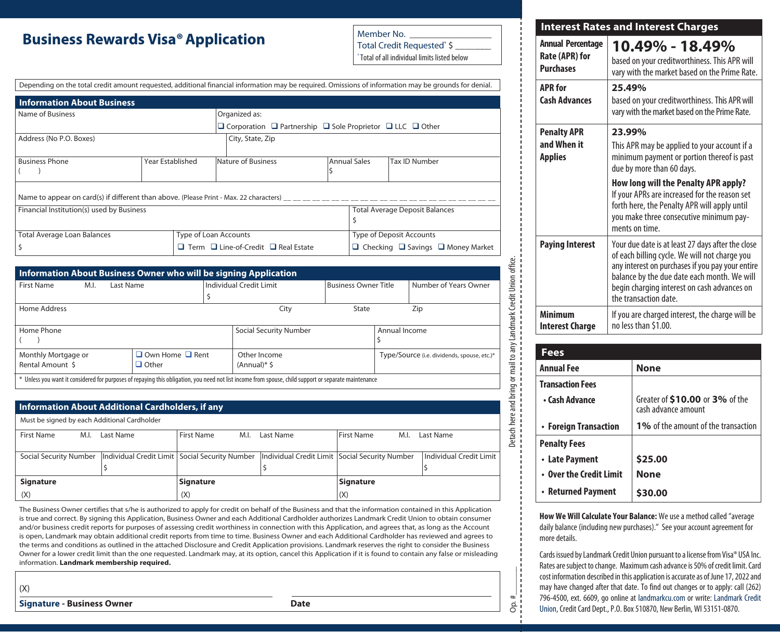#### **Business Rewards Visa®Application**

Member No. Total Credit Requested\* \$ \_\_\_\_\_\_\_\_

\* Total of all individual limits listed below

#### Depending on the total credit amount requested, additional financial information may be required. Omissions of information may be grounds for denial.

| <b>Information About Business</b>                                                                  |                  |                                                                                      |  |                                                    |               |  |  |
|----------------------------------------------------------------------------------------------------|------------------|--------------------------------------------------------------------------------------|--|----------------------------------------------------|---------------|--|--|
| Name of Business                                                                                   | Organized as:    |                                                                                      |  |                                                    |               |  |  |
|                                                                                                    |                  | $\Box$ Corporation $\Box$ Partnership $\Box$ Sole Proprietor $\Box$ LLC $\Box$ Other |  |                                                    |               |  |  |
| Address (No P.O. Boxes)                                                                            | City, State, Zip |                                                                                      |  |                                                    |               |  |  |
| <b>Business Phone</b>                                                                              | Year Established | Nature of Business                                                                   |  | <b>Annual Sales</b>                                | Tax ID Number |  |  |
|                                                                                                    |                  |                                                                                      |  |                                                    |               |  |  |
| Name to appear on card(s) if different than above. (Please Print - Max. 22 characters) $\mu$ $\mu$ |                  |                                                                                      |  |                                                    |               |  |  |
| Financial Institution(s) used by Business                                                          |                  |                                                                                      |  | <b>Total Average Deposit Balances</b>              |               |  |  |
|                                                                                                    |                  |                                                                                      |  |                                                    |               |  |  |
| <b>Total Average Loan Balances</b>                                                                 |                  | Type of Loan Accounts                                                                |  | Type of Deposit Accounts                           |               |  |  |
|                                                                                                    |                  | $\Box$ Term $\Box$ Line-of-Credit $\Box$ Real Estate                                 |  | $\Box$ Checking $\Box$ Savings $\Box$ Money Market |               |  |  |

| <b>First Name</b><br>M.I.                        | Last Name                                   |                   | <b>Individual Credit Limit</b>                                                                                                                        | <b>Business Owner Title</b> |                                             | Number of Years Owner |  |
|--------------------------------------------------|---------------------------------------------|-------------------|-------------------------------------------------------------------------------------------------------------------------------------------------------|-----------------------------|---------------------------------------------|-----------------------|--|
| Home Address                                     |                                             |                   | City                                                                                                                                                  | State                       |                                             | Zip                   |  |
| Home Phone                                       |                                             |                   | <b>Social Security Number</b>                                                                                                                         |                             | Annual Income                               |                       |  |
| Monthly Mortgage or<br>Rental Amount \$          | $\Box$ Own Home $\Box$ Rent<br>$\Box$ Other |                   | Other Income<br>$(Annual)*$ \$                                                                                                                        |                             | Type/Source (i.e. dividends, spouse, etc.)* |                       |  |
|                                                  |                                             |                   | * Unless you want it considered for purposes of repaying this obligation, you need not list income from spouse, child support or separate maintenance |                             |                                             |                       |  |
| Information About Additional Cardholders, if any |                                             |                   |                                                                                                                                                       |                             |                                             |                       |  |
| Must be signed by each Additional Cardholder     |                                             |                   |                                                                                                                                                       |                             |                                             |                       |  |
| <b>First Name</b><br>M.I.                        | Last Name                                   | <b>First Name</b> | M.I.<br>Last Name                                                                                                                                     | <b>First Name</b>           | M.I.                                        | Last Name             |  |

#### **Information About Additional Cardholders, if any**

| Must be signed by each Additional Cardholder |  |                  |            |      |                                                                                                                              |                   |      |                         |
|----------------------------------------------|--|------------------|------------|------|------------------------------------------------------------------------------------------------------------------------------|-------------------|------|-------------------------|
| First Name<br>M.I.                           |  | Last Name        | First Name | M.I. | Last Name                                                                                                                    | <b>First Name</b> | M.I. | Last Name               |
|                                              |  |                  |            |      |                                                                                                                              |                   |      |                         |
|                                              |  |                  |            |      | Social Security Number   Individual Credit Limit   Social Security Number   Individual Credit Limit   Social Security Number |                   |      | Individual Credit Limit |
|                                              |  |                  |            |      |                                                                                                                              |                   |      |                         |
| <b>Signature</b>                             |  | <b>Signature</b> |            |      | <b>Signature</b>                                                                                                             |                   |      |                         |
| (X)                                          |  | (X)              |            |      | (X)                                                                                                                          |                   |      |                         |

The Business Owner certifies that s/he is authorized to apply for credit on behalf of the Business and that the information contained in this Application is true and correct. By signing this Application, Business Owner and each Additional Cardholder authorizes Landmark Credit Union to obtain consumer and/or business credit reports for purposes of assessing credit worthiness in connection with this Application, and agrees that, as long as the Account is open, Landmark may obtain additional credit reports from time to time. Business Owner and each Additional Cardholder has reviewed and agrees to the terms and conditions as outlined in the attached Disclosure and Credit Application provisions. Landmark reserves the right to consider the Business Owner for a lower credit limit than the one requested. Landmark may, at its option, cancel this Application if it is found to contain any false or misleading information. **Landmark membership required.**

(X)

**Signature - Business Owner Contract Contract Contract Contract Contract Contract Contract Contract Contract Contract Contract Contract Contract Contract Contract Contract Contract Contract Contract Contract Contract Con** 

| <b>Interest Rates and Interest Charges</b>                     |                                                                                                                                                                                                                                                                                                                                        |  |  |  |  |
|----------------------------------------------------------------|----------------------------------------------------------------------------------------------------------------------------------------------------------------------------------------------------------------------------------------------------------------------------------------------------------------------------------------|--|--|--|--|
| <b>Annual Percentage</b><br>Rate (APR) for<br><b>Purchases</b> | 10.49% - 18.49%<br>based on your creditworthiness. This APR will<br>vary with the market based on the Prime Rate.                                                                                                                                                                                                                      |  |  |  |  |
| <b>APR</b> for<br><b>Cash Advances</b>                         | 25.49%<br>based on your creditworthiness. This APR will<br>vary with the market based on the Prime Rate.                                                                                                                                                                                                                               |  |  |  |  |
| <b>Penalty APR</b><br>and When it<br><b>Applies</b>            | 23.99%<br>This APR may be applied to your account if a<br>minimum payment or portion thereof is past<br>due by more than 60 days.<br>How long will the Penalty APR apply?<br>If your APRs are increased for the reason set<br>forth here, the Penalty APR will apply until<br>you make three consecutive minimum pay-<br>ments on time |  |  |  |  |
| <b>Paying Interest</b>                                         | Your due date is at least 27 days after the close<br>of each billing cycle. We will not charge you<br>any interest on purchases if you pay your entire<br>balance by the due date each month. We will<br>begin charging interest on cash advances on<br>the transaction date.                                                          |  |  |  |  |
| Minimum<br><b>Interest Charge</b>                              | If you are charged interest, the charge will be<br>no less than \$1.00.                                                                                                                                                                                                                                                                |  |  |  |  |

| Fees                    |                                                        |
|-------------------------|--------------------------------------------------------|
| <b>Annual Fee</b>       | <b>None</b>                                            |
| <b>Transaction Fees</b> |                                                        |
| • Cash Advance          | Greater of \$10.00 or 3% of the<br>cash advance amount |
| • Foreign Transaction   | <b>1%</b> of the amount of the transaction             |
| <b>Penalty Fees</b>     |                                                        |
| • Late Payment          | \$25.00                                                |
| • Over the Credit Limit | <b>None</b>                                            |
| • Returned Payment      | <b>S30.00</b>                                          |

 $Op. #$ 

 $Op.$ #

**How We Will Calculate Your Balance:** We use a method called "average daily balance (including new purchases)." See your account agreement for more details.

Cards issued by Landmark Credit Union pursuant to a license from Visa® USA Inc. Rates are subject to change. Maximum cash advance is 50% of credit limit. Card cost information described in this application is accurate as of June 17, 2022 and may have changed after that date. To find out changes or to apply: call (262) 796-4500, ext. 6609, go online at landmarkcu.com or write: Landmark Credit Union, Credit Card Dept., P.O. Box 510870, New Berlin, WI 53151-0870.